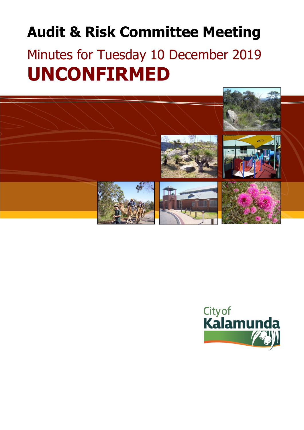# **Audit & Risk Committee Meeting**

# Minutes for Tuesday 10 December 2019 **UNCONFIRMED**



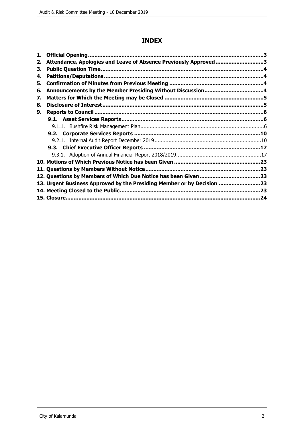# **INDEX**

| 1. |                                                                        |  |
|----|------------------------------------------------------------------------|--|
| 2. | Attendance, Apologies and Leave of Absence Previously Approved 3       |  |
| З. |                                                                        |  |
| 4. |                                                                        |  |
| 5. |                                                                        |  |
| 6. |                                                                        |  |
| 7. |                                                                        |  |
| 8. |                                                                        |  |
| 9. |                                                                        |  |
|    |                                                                        |  |
|    |                                                                        |  |
|    |                                                                        |  |
|    |                                                                        |  |
|    |                                                                        |  |
|    |                                                                        |  |
|    |                                                                        |  |
|    |                                                                        |  |
|    |                                                                        |  |
|    | 13. Urgent Business Approved by the Presiding Member or by Decision 23 |  |
|    |                                                                        |  |
|    |                                                                        |  |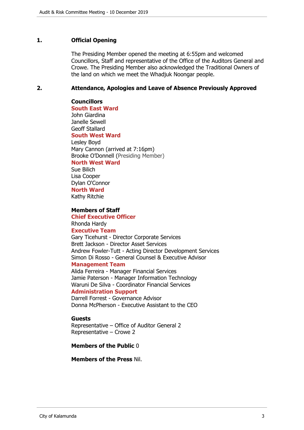### <span id="page-2-0"></span>**1. Official Opening**

The Presiding Member opened the meeting at 6:55pm and welcomed Councillors, Staff and representative of the Office of the Auditors General and Crowe. The Presiding Member also acknowledged the Traditional Owners of the land on which we meet the Whadjuk Noongar people.

#### <span id="page-2-1"></span>**2. Attendance, Apologies and Leave of Absence Previously Approved**

**Councillors South East Ward**  John Giardina Janelle Sewell Geoff Stallard **South West Ward** Lesley Boyd Mary Cannon (arrived at 7:16pm) Brooke O'Donnell (Presiding Member) **North West Ward**

Sue Bilich Lisa Cooper Dylan O'Connor **North Ward**

Kathy Ritchie

#### **Members of Staff**

**Chief Executive Officer** Rhonda Hardy **Executive Team**

Gary Ticehurst - Director Corporate Services Brett Jackson - Director Asset Services Andrew Fowler-Tutt - Acting Director Development Services Simon Di Rosso - General Counsel & Executive Advisor **Management Team**

Alida Ferreira - Manager Financial Services Jamie Paterson - Manager Information Technology Waruni De Silva - Coordinator Financial Services

# **Administration Support**

Darrell Forrest - Governance Advisor Donna McPherson - Executive Assistant to the CEO

#### **Guests**

Representative – Office of Auditor General 2 Representative – Crowe 2

#### **Members of the Public** 0

**Members of the Press** Nil.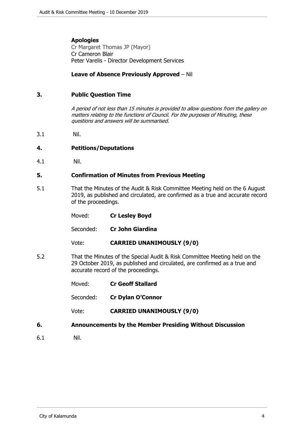# **Apologies**

Cr Margaret Thomas JP (Mayor) Cr Cameron Blair Peter Varelis - Director Development Services

# **Leave of Absence Previously Approved** – Nil

# <span id="page-3-0"></span>**3. Public Question Time**

*A period of not less than 15 minutes is provided to allow questions from the gallery on matters relating to the functions of Council. For the purposes of Minuting, these questions and answers will be summarised.*

3.1 Nil.

# <span id="page-3-1"></span>**4. Petitions/Deputations**

4.1 Nil.

#### <span id="page-3-2"></span>**5. Confirmation of Minutes from Previous Meeting**

5.1 That the Minutes of the Audit & Risk Committee Meeting held on the 6 August 2019, as published and circulated, are confirmed as a true and accurate record of the proceedings.

| Moved: | <b>Cr Lesley Boyd</b> |
|--------|-----------------------|
|        |                       |

Seconded: **Cr John Giardina**

Vote: **CARRIED UNANIMOUSLY (9/0)**

5.2 That the Minutes of the Special Audit & Risk Committee Meeting held on the 29 October 2019, as published and circulated, are confirmed as a true and accurate record of the proceedings.

| Moved: | <b>Cr Geoff Stallard</b> |
|--------|--------------------------|
|--------|--------------------------|

Seconded: **Cr Dylan O'Connor**

Vote: **CARRIED UNANIMOUSLY (9/0)**

#### <span id="page-3-3"></span>**6. Announcements by the Member Presiding Without Discussion**

6.1 Nil.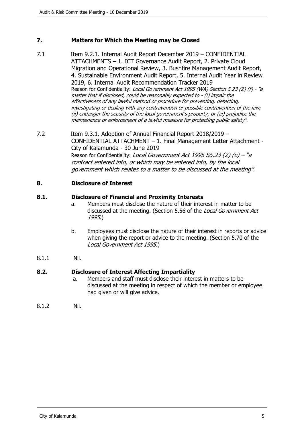# <span id="page-4-0"></span>**7. Matters for Which the Meeting may be Closed**

- 7.1 Item 9.2.1. Internal Audit Report December 2019 CONFIDENTIAL ATTACHMENTS – 1. ICT Governance Audit Report, 2. Private Cloud Migration and Operational Review, 3. Bushfire Management Audit Report, 4. Sustainable Environment Audit Report, 5. Internal Audit Year in Review 2019, 6. Internal Audit Recommendation Tracker 2019 Reason for Confidentiality: *Local Government Act 1995 (WA) Section 5.23 (2) (f) - "a matter that if disclosed, could be reasonably expected to - (i) impair the effectiveness of any lawful method or procedure for preventing, detecting, investigating or dealing with any contravention or possible contravention of the law; (ii) endanger the security of the local government's property; or (iii) prejudice the maintenance or enforcement of a lawful measure for protecting public safety"*.
- 7.2 Item 9.3.1. Adoption of Annual Financial Report 2018/2019 CONFIDENTIAL ATTACHMENT – 1. Final Management Letter Attachment - City of Kalamunda - 30 June 2019 Reason for Confidentiality: *Local Government Act 1995 S5.23 (2) (c) – "a contract entered into, or which may be entered into, by the local government which relates to a matter to be discussed at the meeting".*

#### <span id="page-4-1"></span>**8. Disclosure of Interest**

#### **8.1. Disclosure of Financial and Proximity Interests**

- a. Members must disclose the nature of their interest in matter to be discussed at the meeting. (Section 5.56 of the *Local Government Act 1995*.)
- b. Employees must disclose the nature of their interest in reports or advice when giving the report or advice to the meeting. (Section 5.70 of the *Local Government Act 1995*.)
- 8.1.1 Nil.

#### **8.2. Disclosure of Interest Affecting Impartiality**

- a. Members and staff must disclose their interest in matters to be discussed at the meeting in respect of which the member or employee had given or will give advice.
- 8.1.2 Nil.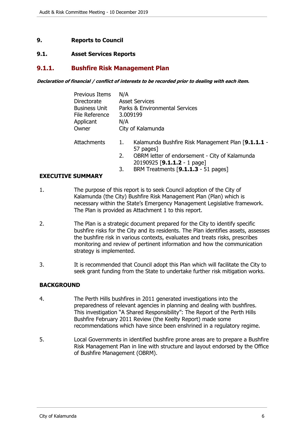# <span id="page-5-0"></span>**9. Reports to Council**

### <span id="page-5-1"></span>**9.1. Asset Services Reports**

# <span id="page-5-2"></span>**9.1.1. Bushfire Risk Management Plan**

*Declaration of financial / conflict of interests to be recorded prior to dealing with each item.*

| <b>Previous Items</b> | N/A                   |                                                                 |  |
|-----------------------|-----------------------|-----------------------------------------------------------------|--|
| Directorate           | <b>Asset Services</b> |                                                                 |  |
| <b>Business Unit</b>  |                       | Parks & Environmental Services                                  |  |
| File Reference        |                       | 3.009199                                                        |  |
| Applicant             | N/A                   |                                                                 |  |
| Owner                 |                       | City of Kalamunda                                               |  |
| Attachments           | 1.                    | Kalamunda Bushfire Risk Management Plan [9.1.1.1 -<br>57 pages] |  |
|                       | 2.                    | OBRM letter of endorsement - City of Kalamunda                  |  |
|                       |                       | 20190925 [9.1.1.2 - 1 page]                                     |  |

#### 3. BRM Treatments [**9.1.1.3** - 51 pages]

#### **EXECUTIVE SUMMARY**

- 1. The purpose of this report is to seek Council adoption of the City of Kalamunda (the City) Bushfire Risk Management Plan (Plan) which is necessary within the State's Emergency Management Legislative framework. The Plan is provided as Attachment 1 to this report.
- 2. The Plan is a strategic document prepared for the City to identify specific bushfire risks for the City and its residents. The Plan identifies assets, assesses the bushfire risk in various contexts, evaluates and treats risks, prescribes monitoring and review of pertinent information and how the communication strategy is implemented.
- 3. It is recommended that Council adopt this Plan which will facilitate the City to seek grant funding from the State to undertake further risk mitigation works.

#### **BACKGROUND**

- 4. The Perth Hills bushfires in 2011 generated investigations into the preparedness of relevant agencies in planning and dealing with bushfires. This investigation "A Shared Responsibility": The Report of the Perth Hills Bushfire February 2011 Review (the Keelty Report) made some recommendations which have since been enshrined in a regulatory regime.
- 5. Local Governments in identified bushfire prone areas are to prepare a Bushfire Risk Management Plan in line with structure and layout endorsed by the Office of Bushfire Management (OBRM).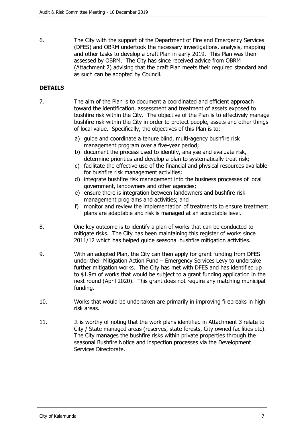6. The City with the support of the Department of Fire and Emergency Services (DFES) and OBRM undertook the necessary investigations, analysis, mapping and other tasks to develop a draft Plan in early 2019. This Plan was then assessed by OBRM. The City has since received advice from OBRM (Attachment 2) advising that the draft Plan meets their required standard and as such can be adopted by Council.

# **DETAILS**

- 7. The aim of the Plan is to document a coordinated and efficient approach toward the identification, assessment and treatment of assets exposed to bushfire risk within the City. The objective of the Plan is to effectively manage bushfire risk within the City in order to protect people, assets and other things of local value. Specifically, the objectives of this Plan is to:
	- a) guide and coordinate a tenure blind, multi-agency bushfire risk management program over a five-year period;
	- b) document the process used to identify, analyse and evaluate risk, determine priorities and develop a plan to systematically treat risk;
	- c) facilitate the effective use of the financial and physical resources available for bushfire risk management activities;
	- d) integrate bushfire risk management into the business processes of local government, landowners and other agencies;
	- e) ensure there is integration between landowners and bushfire risk management programs and activities; and
	- f) monitor and review the implementation of treatments to ensure treatment plans are adaptable and risk is managed at an acceptable level.
- 8. One key outcome is to identify a plan of works that can be conducted to mitigate risks. The City has been maintaining this register of works since 2011/12 which has helped guide seasonal bushfire mitigation activities.
- 9. With an adopted Plan, the City can then apply for grant funding from DFES under their Mitigation Action Fund – Emergency Services Levy to undertake further mitigation works. The City has met with DFES and has identified up to \$1.9m of works that would be subject to a grant funding application in the next round (April 2020). This grant does not require any matching municipal funding.
- 10. Works that would be undertaken are primarily in improving firebreaks in high risk areas.
- 11. It is worthy of noting that the work plans identified in Attachment 3 relate to City / State managed areas (reserves, state forests, City owned facilities etc). The City manages the bushfire risks within private properties through the seasonal Bushfire Notice and inspection processes via the Development Services Directorate.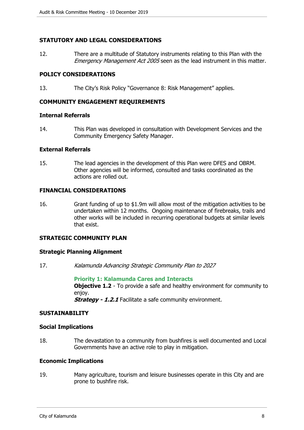# **STATUTORY AND LEGAL CONSIDERATIONS**

12. There are a multitude of Statutory instruments relating to this Plan with the *Emergency Management Act 2005* seen as the lead instrument in this matter.

### **POLICY CONSIDERATIONS**

13. The City's Risk Policy "Governance 8: Risk Management" applies.

#### **COMMUNITY ENGAGEMENT REQUIREMENTS**

#### **Internal Referrals**

14. This Plan was developed in consultation with Development Services and the Community Emergency Safety Manager.

#### **External Referrals**

15. The lead agencies in the development of this Plan were DFES and OBRM. Other agencies will be informed, consulted and tasks coordinated as the actions are rolled out.

# **FINANCIAL CONSIDERATIONS**

16. Grant funding of up to \$1.9m will allow most of the mitigation activities to be undertaken within 12 months. Ongoing maintenance of firebreaks, trails and other works will be included in recurring operational budgets at similar levels that exist.

# **STRATEGIC COMMUNITY PLAN**

#### **Strategic Planning Alignment**

17. *Kalamunda Advancing Strategic Community Plan to 2027*

**Priority 1: Kalamunda Cares and Interacts Objective 1.2** - To provide a safe and healthy environment for community to enjoy. *Strategy - 1.2.1* Facilitate a safe community environment.

#### **SUSTAINABILITY**

#### **Social Implications**

18. The devastation to a community from bushfires is well documented and Local Governments have an active role to play in mitigation.

#### **Economic Implications**

19. Many agriculture, tourism and leisure businesses operate in this City and are prone to bushfire risk.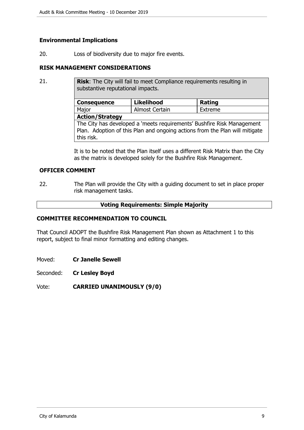# **Environmental Implications**

20. Loss of biodiversity due to major fire events.

### **RISK MANAGEMENT CONSIDERATIONS**

21. **Risk:** The City will fail to meet Compliance requirements resulting in substantive reputational impacts. **Consequence Likelihood Rating** Major | Almost Certain | Extreme **Action/Strategy** The City has developed a 'meets requirements' Bushfire Risk Management

Plan. Adoption of this Plan and ongoing actions from the Plan will mitigate this risk.

It is to be noted that the Plan itself uses a different Risk Matrix than the City as the matrix is developed solely for the Bushfire Risk Management.

# **OFFICER COMMENT**

22. The Plan will provide the City with a guiding document to set in place proper risk management tasks.

#### **Voting Requirements: Simple Majority**

#### **COMMITTEE RECOMMENDATION TO COUNCIL**

That Council ADOPT the Bushfire Risk Management Plan shown as Attachment 1 to this report, subject to final minor formatting and editing changes.

Moved: **Cr Janelle Sewell**

Seconded: **Cr Lesley Boyd**

Vote: **CARRIED UNANIMOUSLY (9/0)**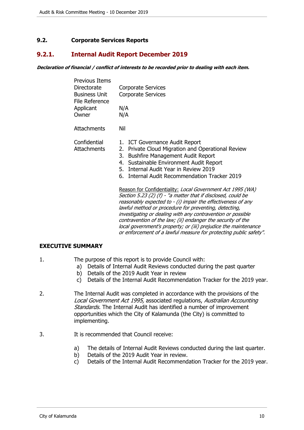# <span id="page-9-0"></span>**9.2. Corporate Services Reports**

# <span id="page-9-1"></span>**9.2.1. Internal Audit Report December 2019**

#### *Declaration of financial / conflict of interests to be recorded prior to dealing with each item.*

| <b>Previous Items</b><br>Directorate<br><b>Business Unit</b><br>File Reference<br>Applicant<br>Owner | Corporate Services<br><b>Corporate Services</b><br>N/A<br>N/A                                                                                                                                                                                                                                                                                                                                                                                       |
|------------------------------------------------------------------------------------------------------|-----------------------------------------------------------------------------------------------------------------------------------------------------------------------------------------------------------------------------------------------------------------------------------------------------------------------------------------------------------------------------------------------------------------------------------------------------|
| Attachments                                                                                          | Nil                                                                                                                                                                                                                                                                                                                                                                                                                                                 |
| Confidential<br><b>Attachments</b>                                                                   | 1. ICT Governance Audit Report<br>2. Private Cloud Migration and Operational Review<br>3. Bushfire Management Audit Report<br>4. Sustainable Environment Audit Report<br>5. Internal Audit Year in Review 2019<br><b>Internal Audit Recommendation Tracker 2019</b><br>6.                                                                                                                                                                           |
|                                                                                                      | Reason for Confidentiality: Local Government Act 1995 (WA)<br>Section 5.23 (2) (f) - "a matter that if disclosed, could be<br>reasonably expected to - (i) impair the effectiveness of any<br>lawful method or procedure for preventing, detecting,<br>investigating or dealing with any contravention or possible<br>contravention of the law; (ii) endanger the security of the<br>local government's property; or (iii) prejudice the maintenanc |

*local government's property; or (iii) prejudice the maintenance or enforcement of a lawful measure for protecting public safety"*.

#### **EXECUTIVE SUMMARY**

- 1. The purpose of this report is to provide Council with:
	- a) Details of Internal Audit Reviews conducted during the past quarter
		- b) Details of the 2019 Audit Year in review
		- c) Details of the Internal Audit Recommendation Tracker for the 2019 year.
- 2. The Internal Audit was completed in accordance with the provisions of the *Local Government Act 1995,* associated regulations, *Australian Accounting Standards.* The Internal Audit has identified a number of improvement opportunities which the City of Kalamunda (the City) is committed to implementing.
- 3. It is recommended that Council receive:
	- a) The details of Internal Audit Reviews conducted during the last quarter.
	- b) Details of the 2019 Audit Year in review.
	- c) Details of the Internal Audit Recommendation Tracker for the 2019 year.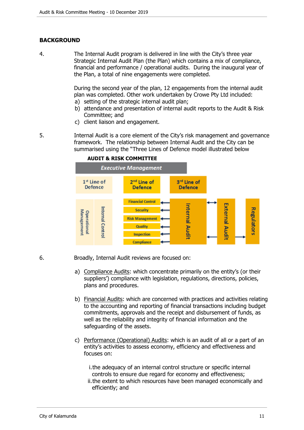# **BACKGROUND**

4. The Internal Audit program is delivered in line with the City's three year Strategic Internal Audit Plan (the Plan) which contains a mix of compliance, financial and performance / operational audits. During the inaugural year of the Plan, a total of nine engagements were completed.

> During the second year of the plan, 12 engagements from the internal audit plan was completed. Other work undertaken by Crowe Pty Ltd included:

- a) setting of the strategic internal audit plan;
- b) attendance and presentation of internal audit reports to the Audit & Risk Committee; and
- c) client liaison and engagement.

5. Internal Audit is a core element of the City's risk management and governance framework. The relationship between Internal Audit and the City can be summarised using the "Three Lines of Defence model illustrated below



#### **AUDIT & RISK COMMITTEE**

- 6. Broadly, Internal Audit reviews are focused on:
	- a) Compliance Audits: which concentrate primarily on the entity's (or their suppliers') compliance with legislation, regulations, directions, policies, plans and procedures.
	- b) Financial Audits: which are concerned with practices and activities relating to the accounting and reporting of financial transactions including budget commitments, approvals and the receipt and disbursement of funds, as well as the reliability and integrity of financial information and the safeguarding of the assets.
	- c) Performance (Operational) Audits: which is an audit of all or a part of an entity's activities to assess economy, efficiency and effectiveness and focuses on:
		- i.the adequacy of an internal control structure or specific internal controls to ensure due regard for economy and effectiveness;
		- ii.the extent to which resources have been managed economically and efficiently; and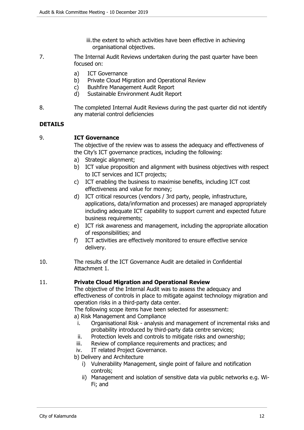- iii.the extent to which activities have been effective in achieving organisational objectives.
- 7. The Internal Audit Reviews undertaken during the past quarter have been focused on:
	- a) ICT Governance
	- b) Private Cloud Migration and Operational Review
	- c) Bushfire Management Audit Report
	- d) Sustainable Environment Audit Report
- 8. The completed Internal Audit Reviews during the past quarter did not identify any material control deficiencies

# **DETAILS**

9. **ICT Governance**

The objective of the review was to assess the adequacy and effectiveness of the City's ICT governance practices, including the following:

- a) Strategic alignment;
- b) ICT value proposition and alignment with business objectives with respect to ICT services and ICT projects;
- c) ICT enabling the business to maximise benefits, including ICT cost effectiveness and value for money;
- d) ICT critical resources (vendors / 3rd party, people, infrastructure, applications, data/information and processes) are managed appropriately including adequate ICT capability to support current and expected future business requirements;
- e) ICT risk awareness and management, including the appropriate allocation of responsibilities; and
- f) ICT activities are effectively monitored to ensure effective service delivery.
- 10. The results of the ICT Governance Audit are detailed in Confidential Attachment 1.

### 11. **Private Cloud Migration and Operational Review**

The objective of the Internal Audit was to assess the adequacy and effectiveness of controls in place to mitigate against technology migration and operation risks in a third-party data center.

The following scope items have been selected for assessment:

a) Risk Management and Compliance

- i. Organisational Risk analysis and management of incremental risks and probability introduced by third-party data centre services;
- ii. Protection levels and controls to mitigate risks and ownership;
- iii. Review of compliance requirements and practices; and
- iv. IT related Project Governance.

b) Delivery and Architecture

- i) Vulnerability Management, single point of failure and notification controls;
- ii) Management and isolation of sensitive data via public networks e.g. Wi-Fi; and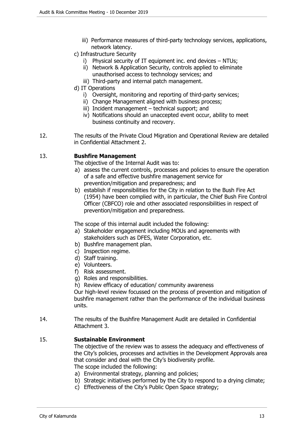- iii) Performance measures of third-party technology services, applications, network latency.
- c) Infrastructure Security
	- i) Physical security of IT equipment inc. end devices NTUs;
	- ii) Network & Application Security, controls applied to eliminate unauthorised access to technology services; and
	- iii) Third-party and internal patch management.
- d) IT Operations
	- i) Oversight, monitoring and reporting of third-party services;
	- ii) Change Management aligned with business process;
	- iii) Incident management technical support; and
	- iv) Notifications should an unaccepted event occur, ability to meet business continuity and recovery.
- 12. The results of the Private Cloud Migration and Operational Review are detailed in Confidential Attachment 2.

# 13. **Bushfire Management**

The objective of the Internal Audit was to:

- a) assess the current controls, processes and policies to ensure the operation of a safe and effective bushfire management service for prevention/mitigation and preparedness; and
- b) establish if responsibilities for the City in relation to the Bush Fire Act (1954) have been complied with, in particular, the Chief Bush Fire Control Officer (CBFCO) role and other associated responsibilities in respect of prevention/mitigation and preparedness.

The scope of this internal audit included the following:

- a) Stakeholder engagement including MOUs and agreements with stakeholders such as DFES, Water Corporation, etc.
- b) Bushfire management plan.
- c) Inspection regime.
- d) Staff training.
- e) Volunteers.
- f) Risk assessment.
- g) Roles and responsibilities.

h) Review efficacy of education/ community awareness

Our high-level review focussed on the process of prevention and mitigation of bushfire management rather than the performance of the individual business units.

14. The results of the Bushfire Management Audit are detailed in Confidential Attachment 3.

# 15. **Sustainable Environment**

The objective of the review was to assess the adequacy and effectiveness of the City's policies, processes and activities in the Development Approvals area that consider and deal with the City's biodiversity profile. The scope included the following:

- a) Environmental strategy, planning and policies;
- b) Strategic initiatives performed by the City to respond to a drying climate;
- c) Effectiveness of the City's Public Open Space strategy;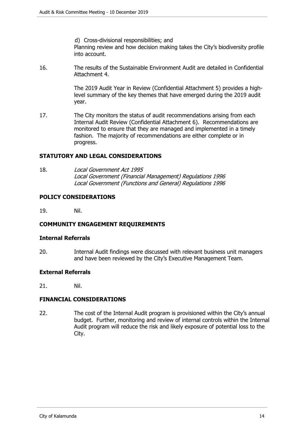d) Cross-divisional responsibilities; and

Planning review and how decision making takes the City's biodiversity profile into account.

16. The results of the Sustainable Environment Audit are detailed in Confidential Attachment 4.

> The 2019 Audit Year in Review (Confidential Attachment 5) provides a highlevel summary of the key themes that have emerged during the 2019 audit year.

17. The City monitors the status of audit recommendations arising from each Internal Audit Review (Confidential Attachment 6). Recommendations are monitored to ensure that they are managed and implemented in a timely fashion. The majority of recommendations are either complete or in progress.

# **STATUTORY AND LEGAL CONSIDERATIONS**

18. *Local Government Act 1995 Local Government (Financial Management) Regulations 1996 Local Government (Functions and General) Regulations 1996*

#### **POLICY CONSIDERATIONS**

19. Nil.

#### **COMMUNITY ENGAGEMENT REQUIREMENTS**

#### **Internal Referrals**

20. Internal Audit findings were discussed with relevant business unit managers and have been reviewed by the City's Executive Management Team.

#### **External Referrals**

21. Nil.

# **FINANCIAL CONSIDERATIONS**

22. The cost of the Internal Audit program is provisioned within the City's annual budget. Further, monitoring and review of internal controls within the Internal Audit program will reduce the risk and likely exposure of potential loss to the City.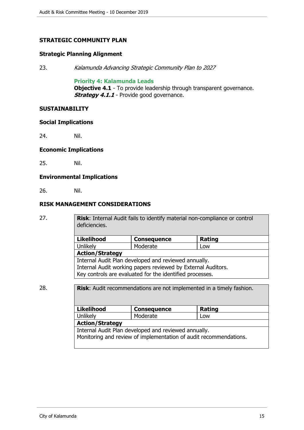# **STRATEGIC COMMUNITY PLAN**

#### **Strategic Planning Alignment**

23. *Kalamunda Advancing Strategic Community Plan to 2027*

#### **Priority 4: Kalamunda Leads**

**Objective 4.1** - To provide leadership through transparent governance. **Strategy 4.1.1** - Provide good governance.

#### **SUSTAINABILITY**

#### **Social Implications**

24. Nil.

#### **Economic Implications**

25. Nil.

#### **Environmental Implications**

26. Nil.

# **RISK MANAGEMENT CONSIDERATIONS**

27. **Risk**: Internal Audit fails to identify material non-compliance or control deficiencies.

| <b>Likelihood</b>                                            | <b>Consequence</b> | Rating |  |
|--------------------------------------------------------------|--------------------|--------|--|
| Unlikely                                                     | Moderate           | Low    |  |
| <b>Action/Strategy</b>                                       |                    |        |  |
| Internal Audit Plan developed and reviewed annually.         |                    |        |  |
| Internal Audit working papers reviewed by External Auditors. |                    |        |  |
| Key controls are evaluated for the identified processes.     |                    |        |  |

# 28. **Risk**: Audit recommendations are not implemented in a timely fashion.

| <b>Likelihood</b>                                                 | <b>Consequence</b> | Rating |  |
|-------------------------------------------------------------------|--------------------|--------|--|
| Unlikely                                                          | Moderate           | Low    |  |
| <b>Action/Strategy</b>                                            |                    |        |  |
| Internal Audit Plan developed and reviewed annually.              |                    |        |  |
| Monitoring and review of implementation of audit recommendations. |                    |        |  |
|                                                                   |                    |        |  |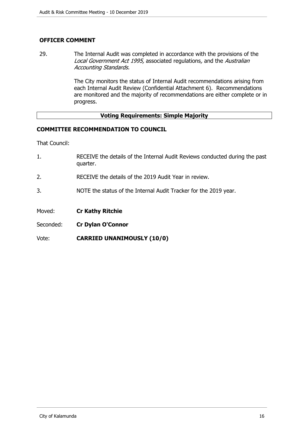# **OFFICER COMMENT**

29. The Internal Audit was completed in accordance with the provisions of the *Local Government Act 1995,* associated regulations*,* and the *Australian Accounting Standards.*

> The City monitors the status of Internal Audit recommendations arising from each Internal Audit Review (Confidential Attachment 6). Recommendations are monitored and the majority of recommendations are either complete or in progress.

### **Voting Requirements: Simple Majority**

# **COMMITTEE RECOMMENDATION TO COUNCIL**

That Council:

- 1. RECEIVE the details of the Internal Audit Reviews conducted during the past quarter.
- 2. RECEIVE the details of the 2019 Audit Year in review.
- 3. NOTE the status of the Internal Audit Tracker for the 2019 year.
- Moved: **Cr Kathy Ritchie**
- Seconded: **Cr Dylan O'Connor**
- Vote: **CARRIED UNANIMOUSLY (10/0)**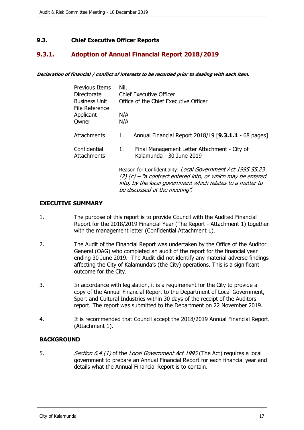# <span id="page-16-0"></span>**9.3. Chief Executive Officer Reports**

# <span id="page-16-1"></span>**9.3.1. Adoption of Annual Financial Report 2018/2019**

*Declaration of financial / conflict of interests to be recorded prior to dealing with each item.*

| Previous Items<br>Directorate<br><b>Business Unit</b><br>File Reference<br>Applicant | Nil.<br>Chief Executive Officer<br>Office of the Chief Executive Officer<br>N/A |                                                                          |
|--------------------------------------------------------------------------------------|---------------------------------------------------------------------------------|--------------------------------------------------------------------------|
| Owner                                                                                | N/A                                                                             |                                                                          |
|                                                                                      |                                                                                 |                                                                          |
| Attachments                                                                          | 1.                                                                              | Annual Financial Report 2018/19 [9.3.1.1 - 68 pages]                     |
| Confidential<br>Attachments                                                          | 1.                                                                              | Final Management Letter Attachment - City of<br>Kalamunda - 30 June 2019 |
|                                                                                      |                                                                                 | Reason for Confidentiality: Local Government Act 1995 S5.23              |

*(2) (c) – "a contract entered into, or which may be entered into, by the local government which relates to a matter to be discussed at the meeting".* 

#### **EXECUTIVE SUMMARY**

- 1. The purpose of this report is to provide Council with the Audited Financial Report for the 2018/2019 Financial Year (The Report - Attachment 1) together with the management letter (Confidential Attachment 1).
- 2. The Audit of the Financial Report was undertaken by the Office of the Auditor General (OAG) who completed an audit of the report for the financial year ending 30 June 2019. The Audit did not identify any material adverse findings affecting the City of Kalamunda's (the City) operations. This is a significant outcome for the City.
- 3. In accordance with legislation, it is a requirement for the City to provide a copy of the Annual Financial Report to the Department of Local Government, Sport and Cultural Industries within 30 days of the receipt of the Auditors report. The report was submitted to the Department on 22 November 2019.
- 4. It is recommended that Council accept the 2018/2019 Annual Financial Report. (Attachment 1).

#### **BACKGROUND**

5. *Section 6.4 (1)* of the *Local Government Act 1995* (The Act) requires a local government to prepare an Annual Financial Report for each financial year and details what the Annual Financial Report is to contain.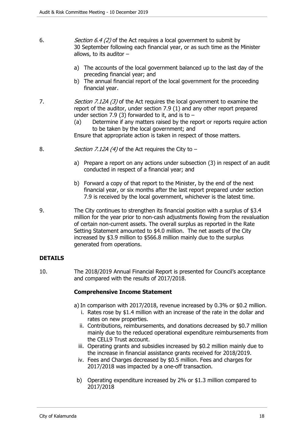- 6. *Section 6.4 (2)* of the Act requires a local government to submit by 30 September following each financial year, or as such time as the Minister allows, to its auditor –
	- a) The accounts of the local government balanced up to the last day of the preceding financial year; and
	- b) The annual financial report of the local government for the proceeding financial year.
- 7. *Section 7.12A (3)* of the Act requires the local government to examine the report of the auditor, under section 7.9 (1) and any other report prepared under section 7.9 (3) forwarded to it, and is to  $-$ 
	- (a) Determine if any matters raised by the report or reports require action to be taken by the local government; and

Ensure that appropriate action is taken in respect of those matters.

- 8. *Section 7.12A (4)* of the Act requires the City to
	- a) Prepare a report on any actions under subsection (3) in respect of an audit conducted in respect of a financial year; and
	- b) Forward a copy of that report to the Minister, by the end of the next financial year, or six months after the last report prepared under section 7.9 is received by the local government, whichever is the latest time.
- 9. The City continues to strengthen its financial position with a surplus of \$3.4 million for the year prior to non-cash adjustments flowing from the revaluation of certain non-current assets. The overall surplus as reported in the Rate Setting Statement amounted to \$4.0 million. The net assets of the City increased by \$3.9 million to \$566.8 million mainly due to the surplus generated from operations.

# **DETAILS**

10. The 2018/2019 Annual Financial Report is presented for Council's acceptance and compared with the results of 2017/2018.

#### **Comprehensive Income Statement**

a) In comparison with 2017/2018, revenue increased by 0.3% or \$0.2 million.

- i. Rates rose by \$1.4 million with an increase of the rate in the dollar and rates on new properties.
- ii. Contributions, reimbursements, and donations decreased by \$0.7 million mainly due to the reduced operational expenditure reimbursements from the CELL9 Trust account.
- iii. Operating grants and subsidies increased by \$0.2 million mainly due to the increase in financial assistance grants received for 2018/2019.
- iv. Fees and Charges decreased by \$0.5 million. Fees and charges for 2017/2018 was impacted by a one-off transaction.
- b) Operating expenditure increased by 2% or \$1.3 million compared to 2017/2018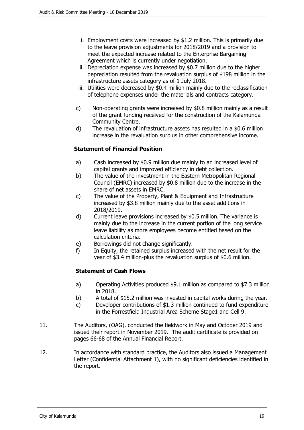- i. Employment costs were increased by \$1.2 million. This is primarily due to the leave provision adjustments for 2018/2019 and a provision to meet the expected increase related to the Enterprise Bargaining Agreement which is currently under negotiation.
- ii. Depreciation expense was increased by \$0.7 million due to the higher depreciation resulted from the revaluation surplus of \$198 million in the infrastructure assets category as of 1 July 2018.
- iii. Utilities were decreased by \$0.4 million mainly due to the reclassification of telephone expenses under the materials and contracts category.
- c) Non-operating grants were increased by \$0.8 million mainly as a result of the grant funding received for the construction of the Kalamunda Community Centre.
- d) The revaluation of infrastructure assets has resulted in a \$0.6 million increase in the revaluation surplus in other comprehensive income.

# **Statement of Financial Position**

- a) Cash increased by \$0.9 million due mainly to an increased level of capital grants and improved efficiency in debt collection.
- b) The value of the investment in the Eastern Metropolitan Regional Council (EMRC) increased by \$0.8 million due to the increase in the share of net assets in EMRC.
- c) The value of the Property, Plant & Equipment and Infrastructure increased by \$3.8 million mainly due to the asset additions in 2018/2019.
- d) Current leave provisions increased by \$0.5 million. The variance is mainly due to the increase in the current portion of the long service leave liability as more employees become entitled based on the calculation criteria.
- e) Borrowings did not change significantly.
- f) In Equity, the retained surplus increased with the net result for the year of \$3.4 million-plus the revaluation surplus of \$0.6 million.

# **Statement of Cash Flows**

- a) Operating Activities produced \$9.1 million as compared to \$7.3 million in 2018.
- b) A total of \$15.2 million was invested in capital works during the year.
- c) Developer contributions of \$1.3 million continued to fund expenditure in the Forrestfield Industrial Area Scheme Stage1 and Cell 9.
- 11. The Auditors, (OAG), conducted the fieldwork in May and October 2019 and issued their report in November 2019. The audit certificate is provided on pages 66-68 of the Annual Financial Report.
- 12. In accordance with standard practice, the Auditors also issued a Management Letter (Confidential Attachment 1), with no significant deficiencies identified in the report.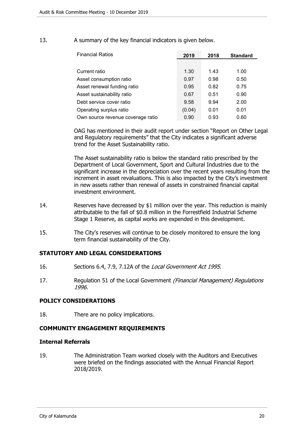| 13.<br>A summary of the key financial indicators is given below. |  |
|------------------------------------------------------------------|--|
|------------------------------------------------------------------|--|

| <b>Financial Ratios</b>           | 2019   | 2018 | <b>Standard</b> |
|-----------------------------------|--------|------|-----------------|
|                                   |        |      |                 |
| Current ratio                     | 1.30   | 1.43 | 1.00            |
| Asset consumption ratio           | 0.97   | 0.98 | 0.50            |
| Asset renewal funding ratio       | 0.95   | 0.82 | 0.75            |
| Asset sustainability ratio        | 0.67   | 0.51 | 0.90            |
| Debt service cover ratio          | 9.58   | 9.94 | 2.00            |
| Operating surplus ratio           | (0.04) | 0.01 | 0.01            |
| Own source revenue coverage ratio | 0.90   | 0.93 | 0.60            |

OAG has mentioned in their audit report under section "Report on Other Legal and Regulatory requirements" that the City indicates a significant adverse trend for the Asset Sustainability ratio.

The Asset sustainability ratio is below the standard ratio prescribed by the Department of Local Government, Sport and Cultural Industries due to the significant increase in the depreciation over the recent years resulting from the increment in asset revaluations. This is also impacted by the City's investment in new assets rather than renewal of assets in constrained financial capital investment environment.

- 14. Reserves have decreased by \$1 million over the year. This reduction is mainly attributable to the fall of \$0.8 million in the Forrestfield Industrial Scheme Stage 1 Reserve, as capital works are expended in this development.
- 15. The City's reserves will continue to be closely monitored to ensure the long term financial sustainability of the City.

#### **STATUTORY AND LEGAL CONSIDERATIONS**

- 16. Sections 6.4, 7.9, 7.12A of the *Local Government Act 1995*.
- 17. Regulation 51 of the Local Government *(Financial Management) Regulations 1996.*

#### **POLICY CONSIDERATIONS**

18. There are no policy implications.

#### **COMMUNITY ENGAGEMENT REQUIREMENTS**

#### **Internal Referrals**

19. The Administration Team worked closely with the Auditors and Executives were briefed on the findings associated with the Annual Financial Report 2018/2019.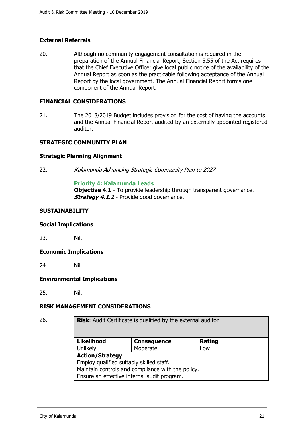# **External Referrals**

20. Although no community engagement consultation is required in the preparation of the Annual Financial Report, Section 5.55 of the Act requires that the Chief Executive Officer give local public notice of the availability of the Annual Report as soon as the practicable following acceptance of the Annual Report by the local government. The Annual Financial Report forms one component of the Annual Report.

### **FINANCIAL CONSIDERATIONS**

21. The 2018/2019 Budget includes provision for the cost of having the accounts and the Annual Financial Report audited by an externally appointed registered auditor.

# **STRATEGIC COMMUNITY PLAN**

# **Strategic Planning Alignment**

22. *Kalamunda Advancing Strategic Community Plan to 2027*

#### **Priority 4: Kalamunda Leads**

**Objective 4.1** - To provide leadership through transparent governance. *Strategy 4.1.1* - Provide good governance.

#### **SUSTAINABILITY**

#### **Social Implications**

23. Nil.

#### **Economic Implications**

24. Nil.

#### **Environmental Implications**

25. Nil.

#### **RISK MANAGEMENT CONSIDERATIONS**

26. **Risk**: Audit Certificate is qualified by the external auditor

| <b>Likelihood</b>                                 | <b>Consequence</b> | <b>Rating</b> |
|---------------------------------------------------|--------------------|---------------|
| Unlikely                                          | Moderate           | Low           |
| <b>Action/Strategy</b>                            |                    |               |
| Employ qualified suitably skilled staff.          |                    |               |
| Maintain controls and compliance with the policy. |                    |               |
| Ensure an effective internal audit program.       |                    |               |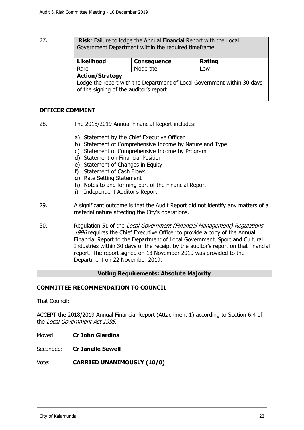27. **Risk**: Failure to lodge the Annual Financial Report with the Local Government Department within the required timeframe.

| <b>Likelihood</b>                                                                                                  | <b>Consequence</b> | Rating |  |
|--------------------------------------------------------------------------------------------------------------------|--------------------|--------|--|
| Rare                                                                                                               | Moderate           | Low    |  |
| <b>Action/Strategy</b>                                                                                             |                    |        |  |
| Lodge the report with the Department of Local Government within 30 days<br>of the signing of the auditor's report. |                    |        |  |

# **OFFICER COMMENT**

- 28. The 2018/2019 Annual Financial Report includes:
	- a) Statement by the Chief Executive Officer
	- b) Statement of Comprehensive Income by Nature and Type
	- c) Statement of Comprehensive Income by Program
	- d) Statement on Financial Position
	- e) Statement of Changes in Equity
	- f) Statement of Cash Flows.
	- g) Rate Setting Statement
	- h) Notes to and forming part of the Financial Report
	- i) Independent Auditor's Report
- 29. A significant outcome is that the Audit Report did not identify any matters of a material nature affecting the City's operations.
- 30. Regulation 51 of the *Local Government (Financial Management) Regulations 1996* requires the Chief Executive Officer to provide a copy of the Annual Financial Report to the Department of Local Government, Sport and Cultural Industries within 30 days of the receipt by the auditor's report on that financial report. The report signed on 13 November 2019 was provided to the Department on 22 November 2019.

#### **Voting Requirements: Absolute Majority**

#### **COMMITTEE RECOMMENDATION TO COUNCIL**

That Council:

ACCEPT the 2018/2019 Annual Financial Report (Attachment 1) according to Section 6.4 of the *Local Government Act 1995*.

- Moved: **Cr John Giardina**
- Seconded: **Cr Janelle Sewell**
- Vote: **CARRIED UNANIMOUSLY (10/0)**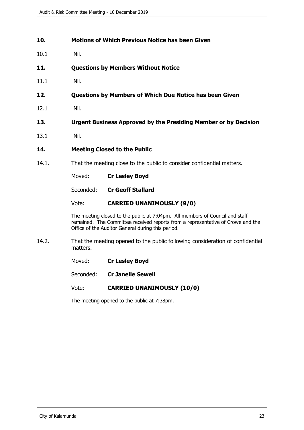#### <span id="page-22-0"></span>**10. Motions of Which Previous Notice has been Given**

- 10.1 Nil.
- <span id="page-22-1"></span>**11. Questions by Members Without Notice**
- 11.1 Nil.
- <span id="page-22-2"></span>**12. Questions by Members of Which Due Notice has been Given**
- 12.1 Nil.
- <span id="page-22-3"></span>**13. Urgent Business Approved by the Presiding Member or by Decision**
- 13.1 Nil.

#### <span id="page-22-4"></span>**14. Meeting Closed to the Public**

- 14.1. That the meeting close to the public to consider confidential matters.
	- Moved: **Cr Lesley Boyd**

Seconded: **Cr Geoff Stallard** 

#### Vote: **CARRIED UNANIMOUSLY (9/0)**

The meeting closed to the public at 7:04pm. All members of Council and staff remained. The Committee received reports from a representative of Crowe and the Office of the Auditor General during this period.

14.2. That the meeting opened to the public following consideration of confidential matters.

Moved: **Cr Lesley Boyd**

Seconded: **Cr Janelle Sewell** 

Vote: **CARRIED UNANIMOUSLY (10/0)**

The meeting opened to the public at 7:38pm.